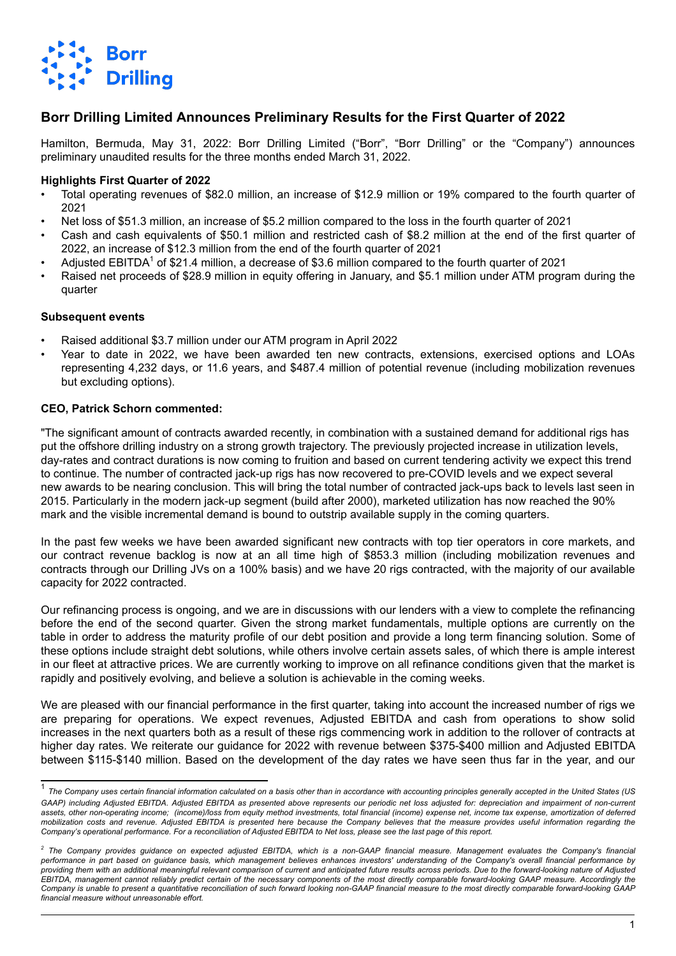

# **Borr Drilling Limited Announces Preliminary Results for the First Quarter of 2022**

Hamilton, Bermuda, May 31, 2022: Borr Drilling Limited ("Borr", "Borr Drilling" or the "Company") announces preliminary unaudited results for the three months ended March 31, 2022.

#### **Highlights First Quarter of 2022**

- Total operating revenues of \$82.0 million, an increase of \$12.9 million or 19% compared to the fourth quarter of 2021
- Net loss of \$51.3 million, an increase of \$5.2 million compared to the loss in the fourth quarter of 2021
- Cash and cash equivalents of \$50.1 million and restricted cash of \$8.2 million at the end of the first quarter of 2022, an increase of \$12.3 million from the end of the fourth quarter of 2021
- Adjusted EBITDA<sup>1</sup> of \$21.4 million, a decrease of \$3.6 million compared to the fourth quarter of 2021
- Raised net proceeds of \$28.9 million in equity offering in January, and \$5.1 million under ATM program during the quarter

#### **Subsequent events**

- Raised additional \$3.7 million under our ATM program in April 2022
- Year to date in 2022, we have been awarded ten new contracts, extensions, exercised options and LOAs representing 4,232 days, or 11.6 years, and \$487.4 million of potential revenue (including mobilization revenues but excluding options).

#### **CEO, Patrick Schorn commented:**

"The significant amount of contracts awarded recently, in combination with a sustained demand for additional rigs has put the offshore drilling industry on a strong growth trajectory. The previously projected increase in utilization levels, day-rates and contract durations is now coming to fruition and based on current tendering activity we expect this trend to continue. The number of contracted jack-up rigs has now recovered to pre-COVID levels and we expect several new awards to be nearing conclusion. This will bring the total number of contracted jack-ups back to levels last seen in 2015. Particularly in the modern jack-up segment (build after 2000), marketed utilization has now reached the 90% mark and the visible incremental demand is bound to outstrip available supply in the coming quarters.

In the past few weeks we have been awarded significant new contracts with top tier operators in core markets, and our contract revenue backlog is now at an all time high of \$853.3 million (including mobilization revenues and contracts through our Drilling JVs on a 100% basis) and we have 20 rigs contracted, with the majority of our available capacity for 2022 contracted.

Our refinancing process is ongoing, and we are in discussions with our lenders with a view to complete the refinancing before the end of the second quarter. Given the strong market fundamentals, multiple options are currently on the table in order to address the maturity profile of our debt position and provide a long term financing solution. Some of these options include straight debt solutions, while others involve certain assets sales, of which there is ample interest in our fleet at attractive prices. We are currently working to improve on all refinance conditions given that the market is rapidly and positively evolving, and believe a solution is achievable in the coming weeks.

We are pleased with our financial performance in the first quarter, taking into account the increased number of rigs we are preparing for operations. We expect revenues, Adjusted EBITDA and cash from operations to show solid increases in the next quarters both as a result of these rigs commencing work in addition to the rollover of contracts at higher day rates. We reiterate our guidance for 2022 with revenue between \$375-\$400 million and Adjusted EBITDA between \$115-\$140 million. Based on the development of the day rates we have seen thus far in the year, and our

<sup>&</sup>lt;sup>1</sup> The Company uses certain financial information calculated on a basis other than in accordance with accounting principles generally accepted in the United States (US GAAP) including Adjusted EBITDA. Adjusted EBITDA as presented above represents our periodic net loss adjusted for: depreciation and impairment of non-current *assets, other non-operating income; (income)/loss from equity method investments, total financial (income) expense net, income tax expense, amortization of deferred mobilization costs and revenue. Adjusted EBITDA is presented here because the Company believes that the measure provides useful information regarding the Company's operational performance. For a reconciliation of Adjusted EBITDA to Net loss, please see the last page of this report.*

<sup>&</sup>lt;sup>2</sup> The Company provides guidance on expected adjusted EBITDA, which is a non-GAAP financial measure. Management evaluates the Company's financial *performance in part based on guidance basis, which management believes enhances investors' understanding of the Company's overall financial performance by providing them with an additional meaningful relevant comparison of current and anticipated future results across periods. Due to the forward-looking nature of Adjusted EBITDA, management cannot reliably predict certain of the necessary components of the most directly comparable forward-looking GAAP measure. Accordingly the Company is unable to present a quantitative reconciliation of such forward looking non-GAAP financial measure to the most directly comparable forward-looking GAAP financial measure without unreasonable effort.*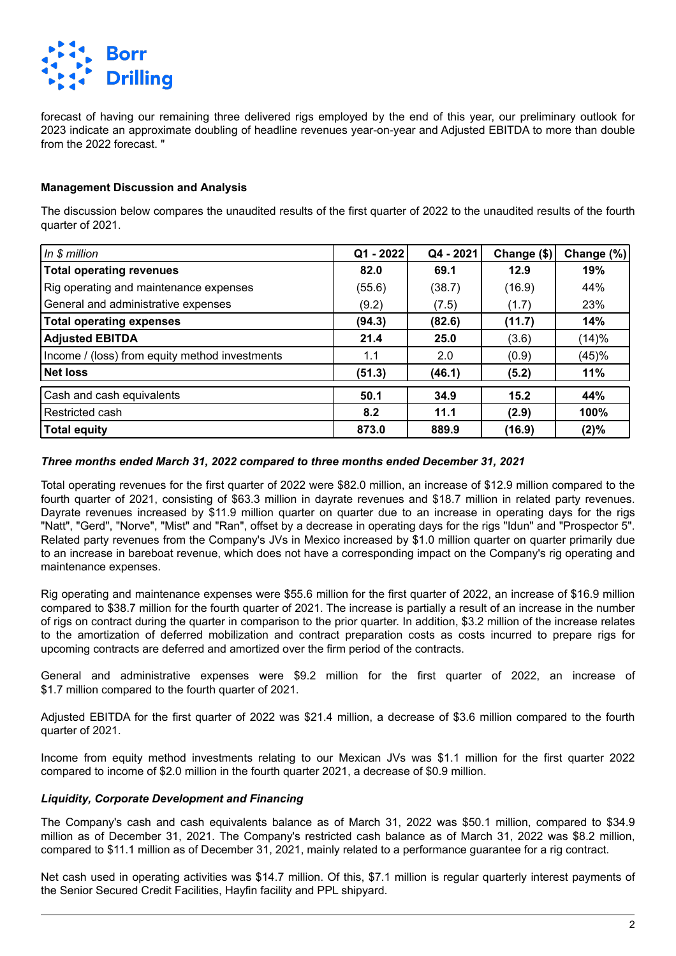

forecast of having our remaining three delivered rigs employed by the end of this year, our preliminary outlook for 2023 indicate an approximate doubling of headline revenues year-on-year and Adjusted EBITDA to more than double from the 2022 forecast. "

#### **Management Discussion and Analysis**

The discussion below compares the unaudited results of the first quarter of 2022 to the unaudited results of the fourth quarter of 2021.

| In \$ million                                  | Q1 - 2022 | Q4 - 2021 | Change (\$) | Change $(\%)$ |
|------------------------------------------------|-----------|-----------|-------------|---------------|
| <b>Total operating revenues</b>                | 82.0      | 69.1      | 12.9        | 19%           |
| Rig operating and maintenance expenses         | (55.6)    | (38.7)    | (16.9)      | 44%           |
| General and administrative expenses            | (9.2)     | (7.5)     | (1.7)       | 23%           |
| <b>Total operating expenses</b>                | (94.3)    | (82.6)    | (11.7)      | 14%           |
| <b>Adjusted EBITDA</b>                         | 21.4      | 25.0      | (3.6)       | (14)%         |
| Income / (loss) from equity method investments | 1.1       | 2.0       | (0.9)       | (45)%         |
| Net loss                                       | (51.3)    | (46.1)    | (5.2)       | 11%           |
| Cash and cash equivalents                      | 50.1      | 34.9      | 15.2        | 44%           |
| Restricted cash                                | 8.2       | 11.1      | (2.9)       | 100%          |
| Total equity                                   | 873.0     | 889.9     | (16.9)      | (2)%          |

#### *Three months ended March 31, 2022 compared to three months ended December 31, 2021*

Total operating revenues for the first quarter of 2022 were \$82.0 million, an increase of \$12.9 million compared to the fourth quarter of 2021, consisting of \$63.3 million in dayrate revenues and \$18.7 million in related party revenues. Dayrate revenues increased by \$11.9 million quarter on quarter due to an increase in operating days for the rigs "Natt", "Gerd", "Norve", "Mist" and "Ran", offset by a decrease in operating days for the rigs "Idun" and "Prospector 5". Related party revenues from the Company's JVs in Mexico increased by \$1.0 million quarter on quarter primarily due to an increase in bareboat revenue, which does not have a corresponding impact on the Company's rig operating and maintenance expenses.

Rig operating and maintenance expenses were \$55.6 million for the first quarter of 2022, an increase of \$16.9 million compared to \$38.7 million for the fourth quarter of 2021. The increase is partially a result of an increase in the number of rigs on contract during the quarter in comparison to the prior quarter. In addition, \$3.2 million of the increase relates to the amortization of deferred mobilization and contract preparation costs as costs incurred to prepare rigs for upcoming contracts are deferred and amortized over the firm period of the contracts.

General and administrative expenses were \$9.2 million for the first quarter of 2022, an increase of \$1.7 million compared to the fourth quarter of 2021.

Adjusted EBITDA for the first quarter of 2022 was \$21.4 million, a decrease of \$3.6 million compared to the fourth quarter of 2021.

Income from equity method investments relating to our Mexican JVs was \$1.1 million for the first quarter 2022 compared to income of \$2.0 million in the fourth quarter 2021, a decrease of \$0.9 million.

#### *Liquidity, Corporate Development and Financing*

The Company's cash and cash equivalents balance as of March 31, 2022 was \$50.1 million, compared to \$34.9 million as of December 31, 2021. The Company's restricted cash balance as of March 31, 2022 was \$8.2 million, compared to \$11.1 million as of December 31, 2021, mainly related to a performance guarantee for a rig contract.

Net cash used in operating activities was \$14.7 million. Of this, \$7.1 million is regular quarterly interest payments of the Senior Secured Credit Facilities, Hayfin facility and PPL shipyard.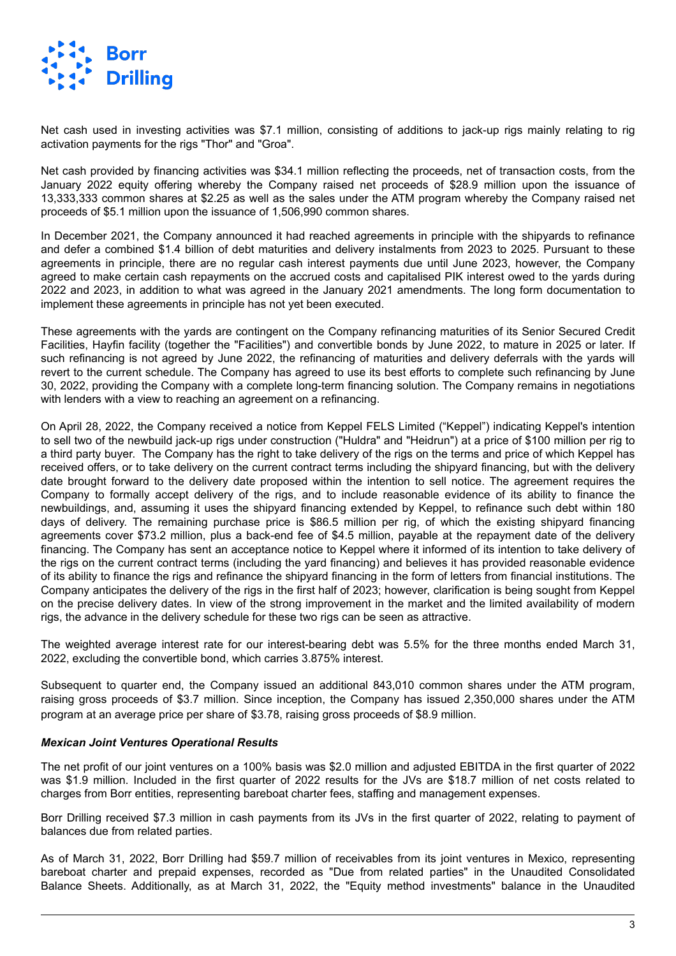

Net cash used in investing activities was \$7.1 million, consisting of additions to jack-up rigs mainly relating to rig activation payments for the rigs "Thor" and "Groa".

Net cash provided by financing activities was \$34.1 million reflecting the proceeds, net of transaction costs, from the January 2022 equity offering whereby the Company raised net proceeds of \$28.9 million upon the issuance of 13,333,333 common shares at \$2.25 as well as the sales under the ATM program whereby the Company raised net proceeds of \$5.1 million upon the issuance of 1,506,990 common shares.

In December 2021, the Company announced it had reached agreements in principle with the shipyards to refinance and defer a combined \$1.4 billion of debt maturities and delivery instalments from 2023 to 2025. Pursuant to these agreements in principle, there are no regular cash interest payments due until June 2023, however, the Company agreed to make certain cash repayments on the accrued costs and capitalised PIK interest owed to the yards during 2022 and 2023, in addition to what was agreed in the January 2021 amendments. The long form documentation to implement these agreements in principle has not yet been executed.

These agreements with the yards are contingent on the Company refinancing maturities of its Senior Secured Credit Facilities, Hayfin facility (together the "Facilities") and convertible bonds by June 2022, to mature in 2025 or later. If such refinancing is not agreed by June 2022, the refinancing of maturities and delivery deferrals with the yards will revert to the current schedule. The Company has agreed to use its best efforts to complete such refinancing by June 30, 2022, providing the Company with a complete long-term financing solution. The Company remains in negotiations with lenders with a view to reaching an agreement on a refinancing.

On April 28, 2022, the Company received a notice from Keppel FELS Limited ("Keppel") indicating Keppel's intention to sell two of the newbuild jack-up rigs under construction ("Huldra" and "Heidrun") at a price of \$100 million per rig to a third party buyer. The Company has the right to take delivery of the rigs on the terms and price of which Keppel has received offers, or to take delivery on the current contract terms including the shipyard financing, but with the delivery date brought forward to the delivery date proposed within the intention to sell notice. The agreement requires the Company to formally accept delivery of the rigs, and to include reasonable evidence of its ability to finance the newbuildings, and, assuming it uses the shipyard financing extended by Keppel, to refinance such debt within 180 days of delivery. The remaining purchase price is \$86.5 million per rig, of which the existing shipyard financing agreements cover \$73.2 million, plus a back-end fee of \$4.5 million, payable at the repayment date of the delivery financing. The Company has sent an acceptance notice to Keppel where it informed of its intention to take delivery of the rigs on the current contract terms (including the yard financing) and believes it has provided reasonable evidence of its ability to finance the rigs and refinance the shipyard financing in the form of letters from financial institutions. The Company anticipates the delivery of the rigs in the first half of 2023; however, clarification is being sought from Keppel on the precise delivery dates. In view of the strong improvement in the market and the limited availability of modern rigs, the advance in the delivery schedule for these two rigs can be seen as attractive.

The weighted average interest rate for our interest-bearing debt was 5.5% for the three months ended March 31, 2022, excluding the convertible bond, which carries 3.875% interest.

Subsequent to quarter end, the Company issued an additional 843,010 common shares under the ATM program, raising gross proceeds of \$3.7 million. Since inception, the Company has issued 2,350,000 shares under the ATM program at an average price per share of \$3.78, raising gross proceeds of \$8.9 million.

#### *Mexican Joint Ventures Operational Results*

The net profit of our joint ventures on a 100% basis was \$2.0 million and adjusted EBITDA in the first quarter of 2022 was \$1.9 million. Included in the first quarter of 2022 results for the JVs are \$18.7 million of net costs related to charges from Borr entities, representing bareboat charter fees, staffing and management expenses.

Borr Drilling received \$7.3 million in cash payments from its JVs in the first quarter of 2022, relating to payment of balances due from related parties.

As of March 31, 2022, Borr Drilling had \$59.7 million of receivables from its joint ventures in Mexico, representing bareboat charter and prepaid expenses, recorded as "Due from related parties" in the Unaudited Consolidated Balance Sheets. Additionally, as at March 31, 2022, the "Equity method investments" balance in the Unaudited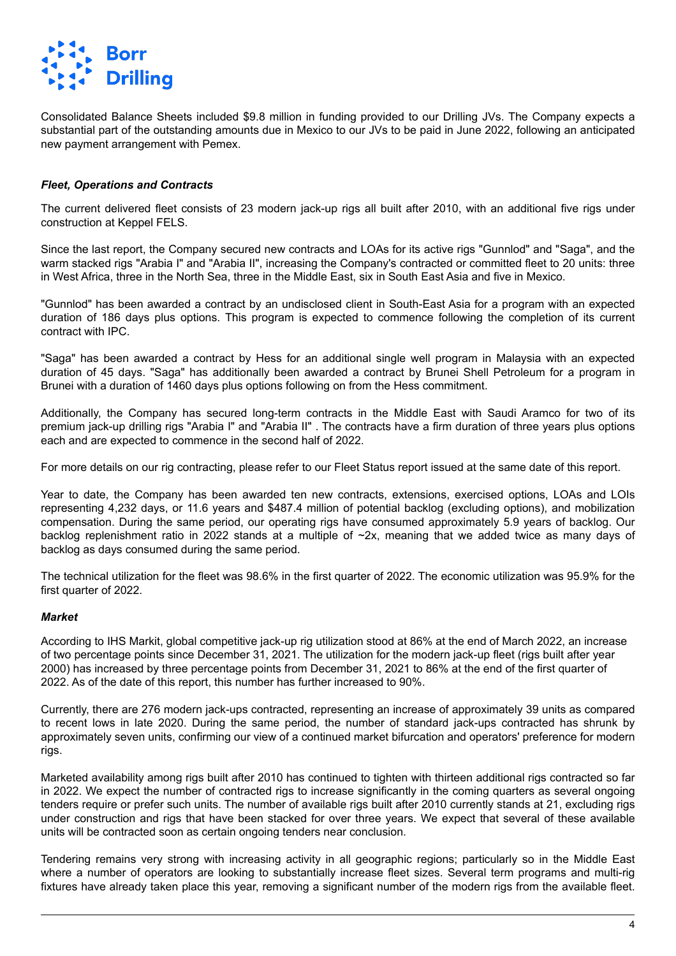

Consolidated Balance Sheets included \$9.8 million in funding provided to our Drilling JVs. The Company expects a substantial part of the outstanding amounts due in Mexico to our JVs to be paid in June 2022, following an anticipated new payment arrangement with Pemex.

#### *Fleet, Operations and Contracts*

The current delivered fleet consists of 23 modern jack-up rigs all built after 2010, with an additional five rigs under construction at Keppel FELS.

Since the last report, the Company secured new contracts and LOAs for its active rigs "Gunnlod" and "Saga", and the warm stacked rigs "Arabia I" and "Arabia II", increasing the Company's contracted or committed fleet to 20 units: three in West Africa, three in the North Sea, three in the Middle East, six in South East Asia and five in Mexico.

"Gunnlod" has been awarded a contract by an undisclosed client in South-East Asia for a program with an expected duration of 186 days plus options. This program is expected to commence following the completion of its current contract with IPC.

"Saga" has been awarded a contract by Hess for an additional single well program in Malaysia with an expected duration of 45 days. "Saga" has additionally been awarded a contract by Brunei Shell Petroleum for a program in Brunei with a duration of 1460 days plus options following on from the Hess commitment.

Additionally, the Company has secured long-term contracts in the Middle East with Saudi Aramco for two of its premium jack-up drilling rigs "Arabia I" and "Arabia II" . The contracts have a firm duration of three years plus options each and are expected to commence in the second half of 2022.

For more details on our rig contracting, please refer to our Fleet Status report issued at the same date of this report.

Year to date, the Company has been awarded ten new contracts, extensions, exercised options, LOAs and LOIs representing 4,232 days, or 11.6 years and \$487.4 million of potential backlog (excluding options), and mobilization compensation. During the same period, our operating rigs have consumed approximately 5.9 years of backlog. Our backlog replenishment ratio in 2022 stands at a multiple of ~2x, meaning that we added twice as many days of backlog as days consumed during the same period.

The technical utilization for the fleet was 98.6% in the first quarter of 2022. The economic utilization was 95.9% for the first quarter of 2022.

#### *Market*

According to IHS Markit, global competitive jack-up rig utilization stood at 86% at the end of March 2022, an increase of two percentage points since December 31, 2021. The utilization for the modern jack-up fleet (rigs built after year 2000) has increased by three percentage points from December 31, 2021 to 86% at the end of the first quarter of 2022. As of the date of this report, this number has further increased to 90%.

Currently, there are 276 modern jack-ups contracted, representing an increase of approximately 39 units as compared to recent lows in late 2020. During the same period, the number of standard jack-ups contracted has shrunk by approximately seven units, confirming our view of a continued market bifurcation and operators' preference for modern rigs.

Marketed availability among rigs built after 2010 has continued to tighten with thirteen additional rigs contracted so far in 2022. We expect the number of contracted rigs to increase significantly in the coming quarters as several ongoing tenders require or prefer such units. The number of available rigs built after 2010 currently stands at 21, excluding rigs under construction and rigs that have been stacked for over three years. We expect that several of these available units will be contracted soon as certain ongoing tenders near conclusion.

Tendering remains very strong with increasing activity in all geographic regions; particularly so in the Middle East where a number of operators are looking to substantially increase fleet sizes. Several term programs and multi-rig fixtures have already taken place this year, removing a significant number of the modern rigs from the available fleet.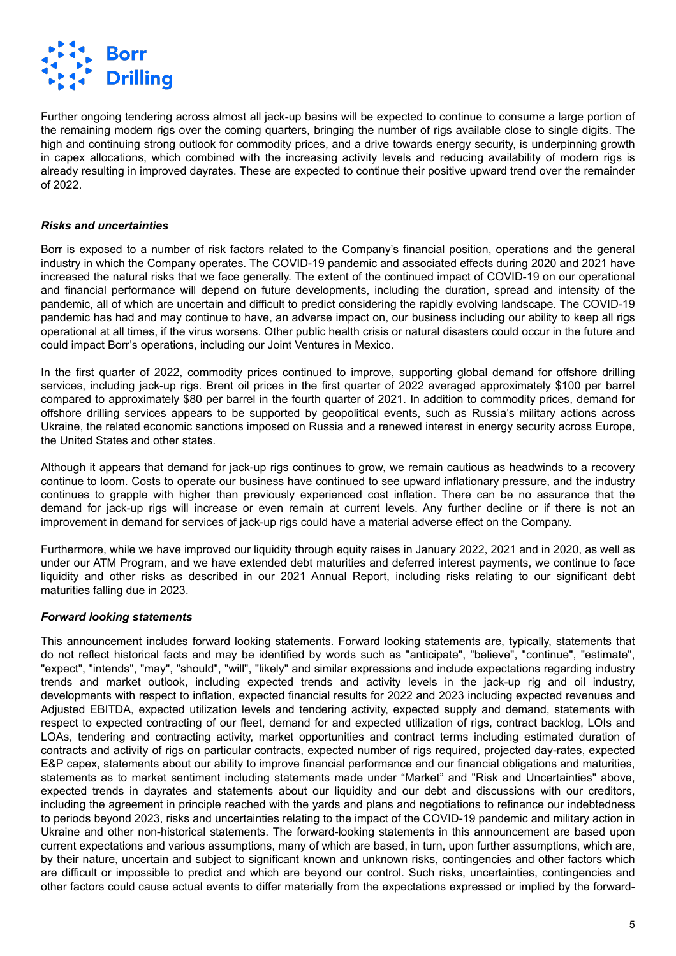

Further ongoing tendering across almost all jack-up basins will be expected to continue to consume a large portion of the remaining modern rigs over the coming quarters, bringing the number of rigs available close to single digits. The high and continuing strong outlook for commodity prices, and a drive towards energy security, is underpinning growth in capex allocations, which combined with the increasing activity levels and reducing availability of modern rigs is already resulting in improved dayrates. These are expected to continue their positive upward trend over the remainder of 2022.

#### *Risks and uncertainties*

Borr is exposed to a number of risk factors related to the Company's financial position, operations and the general industry in which the Company operates. The COVID-19 pandemic and associated effects during 2020 and 2021 have increased the natural risks that we face generally. The extent of the continued impact of COVID-19 on our operational and financial performance will depend on future developments, including the duration, spread and intensity of the pandemic, all of which are uncertain and difficult to predict considering the rapidly evolving landscape. The COVID-19 pandemic has had and may continue to have, an adverse impact on, our business including our ability to keep all rigs operational at all times, if the virus worsens. Other public health crisis or natural disasters could occur in the future and could impact Borr's operations, including our Joint Ventures in Mexico.

In the first quarter of 2022, commodity prices continued to improve, supporting global demand for offshore drilling services, including jack-up rigs. Brent oil prices in the first quarter of 2022 averaged approximately \$100 per barrel compared to approximately \$80 per barrel in the fourth quarter of 2021. In addition to commodity prices, demand for offshore drilling services appears to be supported by geopolitical events, such as Russia's military actions across Ukraine, the related economic sanctions imposed on Russia and a renewed interest in energy security across Europe, the United States and other states.

Although it appears that demand for jack-up rigs continues to grow, we remain cautious as headwinds to a recovery continue to loom. Costs to operate our business have continued to see upward inflationary pressure, and the industry continues to grapple with higher than previously experienced cost inflation. There can be no assurance that the demand for jack-up rigs will increase or even remain at current levels. Any further decline or if there is not an improvement in demand for services of jack-up rigs could have a material adverse effect on the Company.

Furthermore, while we have improved our liquidity through equity raises in January 2022, 2021 and in 2020, as well as under our ATM Program, and we have extended debt maturities and deferred interest payments, we continue to face liquidity and other risks as described in our 2021 Annual Report, including risks relating to our significant debt maturities falling due in 2023.

#### *Forward looking statements*

This announcement includes forward looking statements. Forward looking statements are, typically, statements that do not reflect historical facts and may be identified by words such as "anticipate", "believe", "continue", "estimate", "expect", "intends", "may", "should", "will", "likely" and similar expressions and include expectations regarding industry trends and market outlook, including expected trends and activity levels in the jack-up rig and oil industry, developments with respect to inflation, expected financial results for 2022 and 2023 including expected revenues and Adjusted EBITDA, expected utilization levels and tendering activity, expected supply and demand, statements with respect to expected contracting of our fleet, demand for and expected utilization of rigs, contract backlog, LOIs and LOAs, tendering and contracting activity, market opportunities and contract terms including estimated duration of contracts and activity of rigs on particular contracts, expected number of rigs required, projected day-rates, expected E&P capex, statements about our ability to improve financial performance and our financial obligations and maturities, statements as to market sentiment including statements made under "Market" and "Risk and Uncertainties" above, expected trends in dayrates and statements about our liquidity and our debt and discussions with our creditors, including the agreement in principle reached with the yards and plans and negotiations to refinance our indebtedness to periods beyond 2023, risks and uncertainties relating to the impact of the COVID-19 pandemic and military action in Ukraine and other non-historical statements. The forward-looking statements in this announcement are based upon current expectations and various assumptions, many of which are based, in turn, upon further assumptions, which are, by their nature, uncertain and subject to significant known and unknown risks, contingencies and other factors which are difficult or impossible to predict and which are beyond our control. Such risks, uncertainties, contingencies and other factors could cause actual events to differ materially from the expectations expressed or implied by the forward-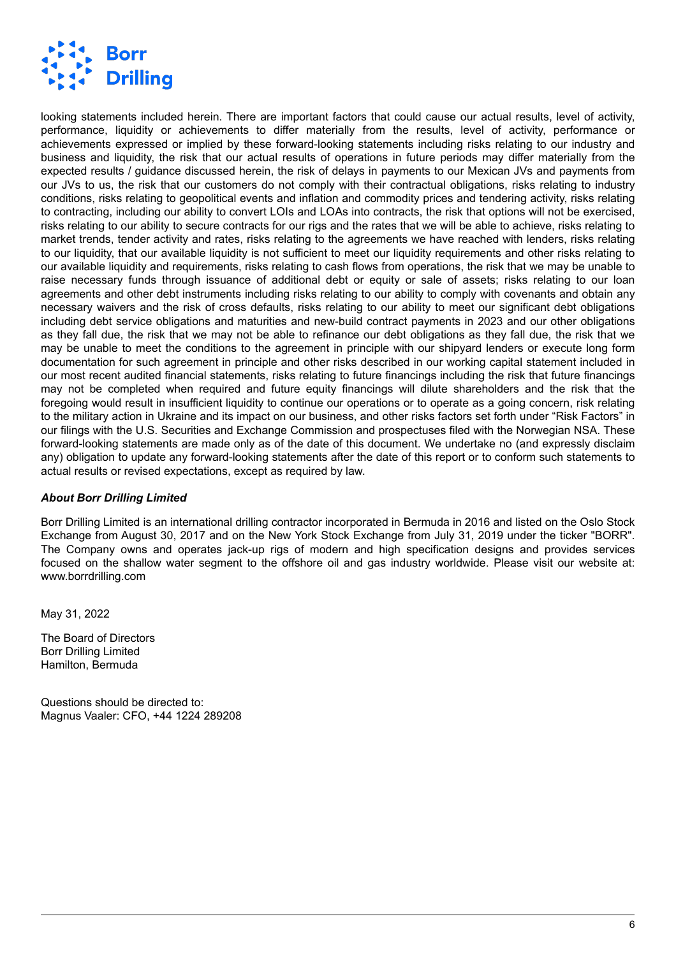

looking statements included herein. There are important factors that could cause our actual results, level of activity, performance, liquidity or achievements to differ materially from the results, level of activity, performance or achievements expressed or implied by these forward-looking statements including risks relating to our industry and business and liquidity, the risk that our actual results of operations in future periods may differ materially from the expected results / guidance discussed herein, the risk of delays in payments to our Mexican JVs and payments from our JVs to us, the risk that our customers do not comply with their contractual obligations, risks relating to industry conditions, risks relating to geopolitical events and inflation and commodity prices and tendering activity, risks relating to contracting, including our ability to convert LOIs and LOAs into contracts, the risk that options will not be exercised, risks relating to our ability to secure contracts for our rigs and the rates that we will be able to achieve, risks relating to market trends, tender activity and rates, risks relating to the agreements we have reached with lenders, risks relating to our liquidity, that our available liquidity is not sufficient to meet our liquidity requirements and other risks relating to our available liquidity and requirements, risks relating to cash flows from operations, the risk that we may be unable to raise necessary funds through issuance of additional debt or equity or sale of assets; risks relating to our loan agreements and other debt instruments including risks relating to our ability to comply with covenants and obtain any necessary waivers and the risk of cross defaults, risks relating to our ability to meet our significant debt obligations including debt service obligations and maturities and new-build contract payments in 2023 and our other obligations as they fall due, the risk that we may not be able to refinance our debt obligations as they fall due, the risk that we may be unable to meet the conditions to the agreement in principle with our shipyard lenders or execute long form documentation for such agreement in principle and other risks described in our working capital statement included in our most recent audited financial statements, risks relating to future financings including the risk that future financings may not be completed when required and future equity financings will dilute shareholders and the risk that the foregoing would result in insufficient liquidity to continue our operations or to operate as a going concern, risk relating to the military action in Ukraine and its impact on our business, and other risks factors set forth under "Risk Factors" in our filings with the U.S. Securities and Exchange Commission and prospectuses filed with the Norwegian NSA. These forward-looking statements are made only as of the date of this document. We undertake no (and expressly disclaim any) obligation to update any forward-looking statements after the date of this report or to conform such statements to actual results or revised expectations, except as required by law.

#### *About Borr Drilling Limited*

Borr Drilling Limited is an international drilling contractor incorporated in Bermuda in 2016 and listed on the Oslo Stock Exchange from August 30, 2017 and on the New York Stock Exchange from July 31, 2019 under the ticker "BORR". The Company owns and operates jack-up rigs of modern and high specification designs and provides services focused on the shallow water segment to the offshore oil and gas industry worldwide. Please visit our website at: www.borrdrilling.com

May 31, 2022

The Board of Directors Borr Drilling Limited Hamilton, Bermuda

Questions should be directed to: Magnus Vaaler: CFO, +44 1224 289208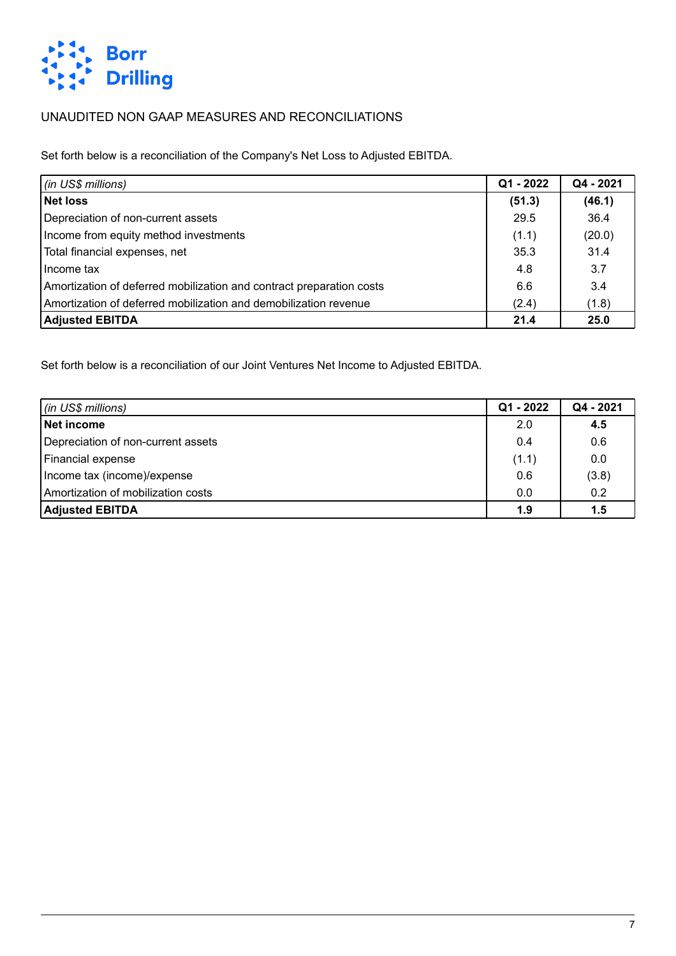

### UNAUDITED NON GAAP MEASURES AND RECONCILIATIONS

Set forth below is a reconciliation of the Company's Net Loss to Adjusted EBITDA.

| $\int$ (in US\$ millions)                                            | $Q1 - 2022$ | Q4 - 2021 |
|----------------------------------------------------------------------|-------------|-----------|
| Net loss                                                             | (51.3)      | (46.1)    |
| Depreciation of non-current assets                                   | 29.5        | 36.4      |
| Income from equity method investments                                | (1.1)       | (20.0)    |
| Total financial expenses, net                                        | 35.3        | 31.4      |
| I Income tax                                                         | 4.8         | 3.7       |
| Amortization of deferred mobilization and contract preparation costs |             | 3.4       |
| Amortization of deferred mobilization and demobilization revenue     | (2.4)       | (1.8)     |
| <b>Adjusted EBITDA</b>                                               | 21.4        | 25.0      |

Set forth below is a reconciliation of our Joint Ventures Net Income to Adjusted EBITDA.

| $\int$ (in US\$ millions)          | Q1 - 2022 | Q4 - 2021 |
|------------------------------------|-----------|-----------|
| Net income                         | 2.0       | 4.5       |
| Depreciation of non-current assets | 0.4       | 0.6       |
| Financial expense                  | (1.1)     | 0.0       |
| Income tax (income)/expense        | 0.6       | (3.8)     |
| Amortization of mobilization costs | 0.0       | 0.2       |
| <b>Adjusted EBITDA</b>             | 1.9       | 1.5       |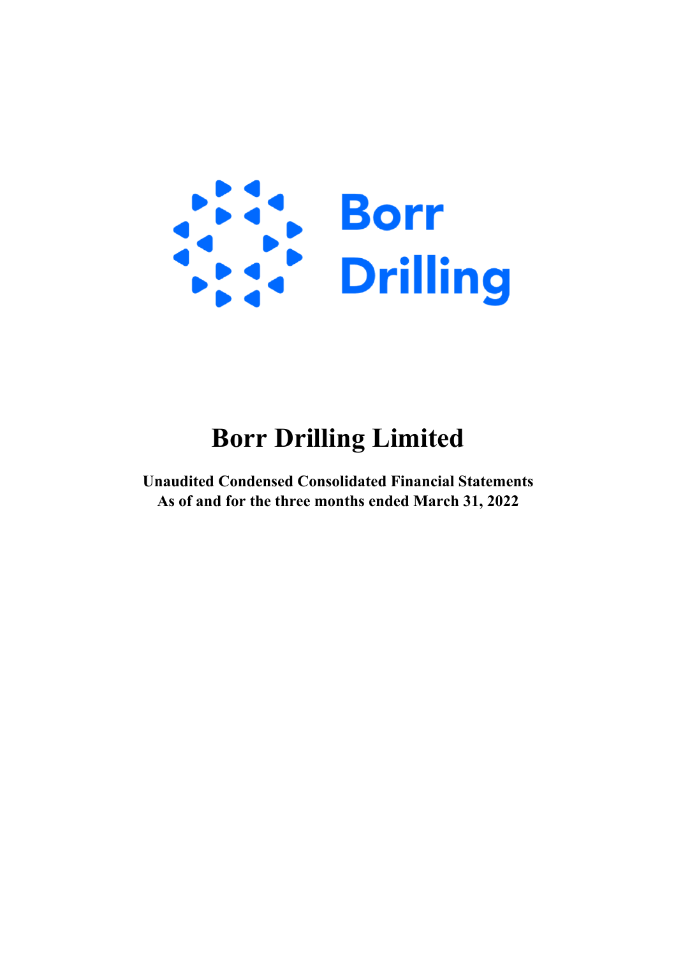

# **Borr Drilling Limited**

**Unaudited Condensed Consolidated Financial Statements As of and for the three months ended March 31, 2022**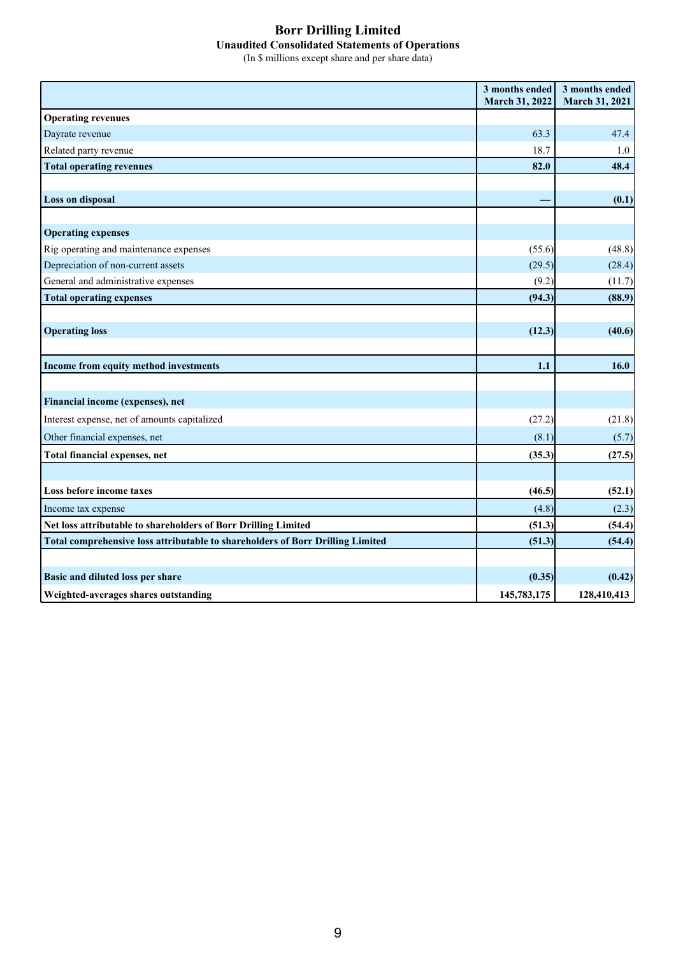#### **Borr Drilling Limited Unaudited Consolidated Statements of Operations**

(In \$ millions except share and per share data)

|                                                                                | 3 months ended<br>March 31, 2022 | 3 months ended<br><b>March 31, 2021</b> |
|--------------------------------------------------------------------------------|----------------------------------|-----------------------------------------|
| <b>Operating revenues</b>                                                      |                                  |                                         |
| Dayrate revenue                                                                | 63.3                             | 47.4                                    |
| Related party revenue                                                          | 18.7                             | 1.0                                     |
| <b>Total operating revenues</b>                                                | 82.0                             | 48.4                                    |
|                                                                                |                                  |                                         |
| Loss on disposal                                                               |                                  | (0.1)                                   |
|                                                                                |                                  |                                         |
| <b>Operating expenses</b>                                                      |                                  |                                         |
| Rig operating and maintenance expenses                                         | (55.6)                           | (48.8)                                  |
| Depreciation of non-current assets                                             | (29.5)                           | (28.4)                                  |
| General and administrative expenses                                            | (9.2)                            | (11.7)                                  |
| <b>Total operating expenses</b>                                                | (94.3)                           | (88.9)                                  |
|                                                                                |                                  |                                         |
| <b>Operating loss</b>                                                          | (12.3)                           | (40.6)                                  |
|                                                                                |                                  |                                         |
| Income from equity method investments                                          | 1.1                              | 16.0                                    |
|                                                                                |                                  |                                         |
| Financial income (expenses), net                                               |                                  |                                         |
| Interest expense, net of amounts capitalized                                   | (27.2)                           | (21.8)                                  |
| Other financial expenses, net                                                  | (8.1)                            | (5.7)                                   |
| <b>Total financial expenses, net</b>                                           | (35.3)                           | (27.5)                                  |
|                                                                                |                                  |                                         |
| Loss before income taxes                                                       | (46.5)                           | (52.1)                                  |
| Income tax expense                                                             | (4.8)                            | (2.3)                                   |
| Net loss attributable to shareholders of Borr Drilling Limited                 | (51.3)                           | (54.4)                                  |
| Total comprehensive loss attributable to shareholders of Borr Drilling Limited | (51.3)                           | (54.4)                                  |
|                                                                                |                                  |                                         |
| Basic and diluted loss per share                                               | (0.35)                           | (0.42)                                  |
| Weighted-averages shares outstanding                                           | 145,783,175                      | 128,410,413                             |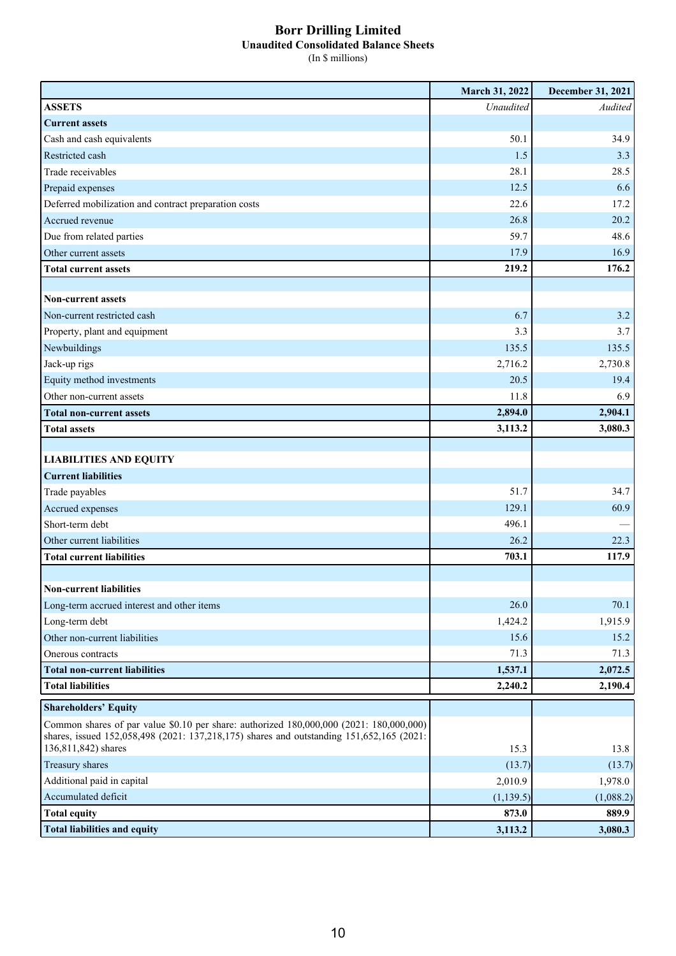# **Borr Drilling Limited Unaudited Consolidated Balance Sheets**

(In \$ millions)

|                                                                                                                                                                                                            | March 31, 2022 | December 31, 2021 |
|------------------------------------------------------------------------------------------------------------------------------------------------------------------------------------------------------------|----------------|-------------------|
| <b>ASSETS</b>                                                                                                                                                                                              | Unaudited      | Audited           |
| <b>Current assets</b>                                                                                                                                                                                      |                |                   |
| Cash and cash equivalents                                                                                                                                                                                  | 50.1           | 34.9              |
| Restricted cash                                                                                                                                                                                            | 1.5            | 3.3               |
| Trade receivables                                                                                                                                                                                          | 28.1           | 28.5              |
| Prepaid expenses                                                                                                                                                                                           | 12.5           | 6.6               |
| Deferred mobilization and contract preparation costs                                                                                                                                                       | 22.6           | 17.2              |
| Accrued revenue                                                                                                                                                                                            | 26.8           | 20.2              |
| Due from related parties                                                                                                                                                                                   | 59.7           | 48.6              |
| Other current assets                                                                                                                                                                                       | 17.9           | 16.9              |
| <b>Total current assets</b>                                                                                                                                                                                | 219.2          | 176.2             |
|                                                                                                                                                                                                            |                |                   |
| Non-current assets                                                                                                                                                                                         |                |                   |
| Non-current restricted cash                                                                                                                                                                                | 6.7            | 3.2               |
| Property, plant and equipment                                                                                                                                                                              | 3.3            | 3.7               |
| Newbuildings                                                                                                                                                                                               | 135.5          | 135.5             |
| Jack-up rigs                                                                                                                                                                                               | 2,716.2        | 2,730.8           |
| Equity method investments                                                                                                                                                                                  | 20.5           | 19.4              |
| Other non-current assets                                                                                                                                                                                   | 11.8           | 6.9               |
| <b>Total non-current assets</b>                                                                                                                                                                            | 2,894.0        | 2,904.1           |
| <b>Total assets</b>                                                                                                                                                                                        | 3,113.2        | 3,080.3           |
| <b>LIABILITIES AND EQUITY</b>                                                                                                                                                                              |                |                   |
| <b>Current liabilities</b>                                                                                                                                                                                 |                |                   |
| Trade payables                                                                                                                                                                                             | 51.7           | 34.7              |
| Accrued expenses                                                                                                                                                                                           | 129.1          | 60.9              |
| Short-term debt                                                                                                                                                                                            | 496.1          |                   |
| Other current liabilities                                                                                                                                                                                  | 26.2           | 22.3              |
| <b>Total current liabilities</b>                                                                                                                                                                           | 703.1          | 117.9             |
|                                                                                                                                                                                                            |                |                   |
| <b>Non-current liabilities</b>                                                                                                                                                                             |                |                   |
| Long-term accrued interest and other items                                                                                                                                                                 | 26.0           | 70.1              |
| Long-term debt                                                                                                                                                                                             | 1,424.2        | 1,915.9           |
| Other non-current liabilities                                                                                                                                                                              | 15.6           | 15.2              |
| Onerous contracts                                                                                                                                                                                          | 71.3           | 71.3              |
| <b>Total non-current liabilities</b>                                                                                                                                                                       | 1,537.1        | 2,072.5           |
| <b>Total liabilities</b>                                                                                                                                                                                   | 2,240.2        | 2,190.4           |
| <b>Shareholders' Equity</b>                                                                                                                                                                                |                |                   |
| Common shares of par value \$0.10 per share: authorized 180,000,000 (2021: 180,000,000)<br>shares, issued 152,058,498 (2021: 137,218,175) shares and outstanding 151,652,165 (2021:<br>136,811,842) shares | 15.3           | 13.8              |
| Treasury shares                                                                                                                                                                                            | (13.7)         | (13.7)            |
| Additional paid in capital                                                                                                                                                                                 | 2,010.9        | 1,978.0           |
| Accumulated deficit                                                                                                                                                                                        | (1, 139.5)     | (1,088.2)         |
| <b>Total equity</b>                                                                                                                                                                                        | 873.0          | 889.9             |
| <b>Total liabilities and equity</b>                                                                                                                                                                        | 3,113.2        | 3,080.3           |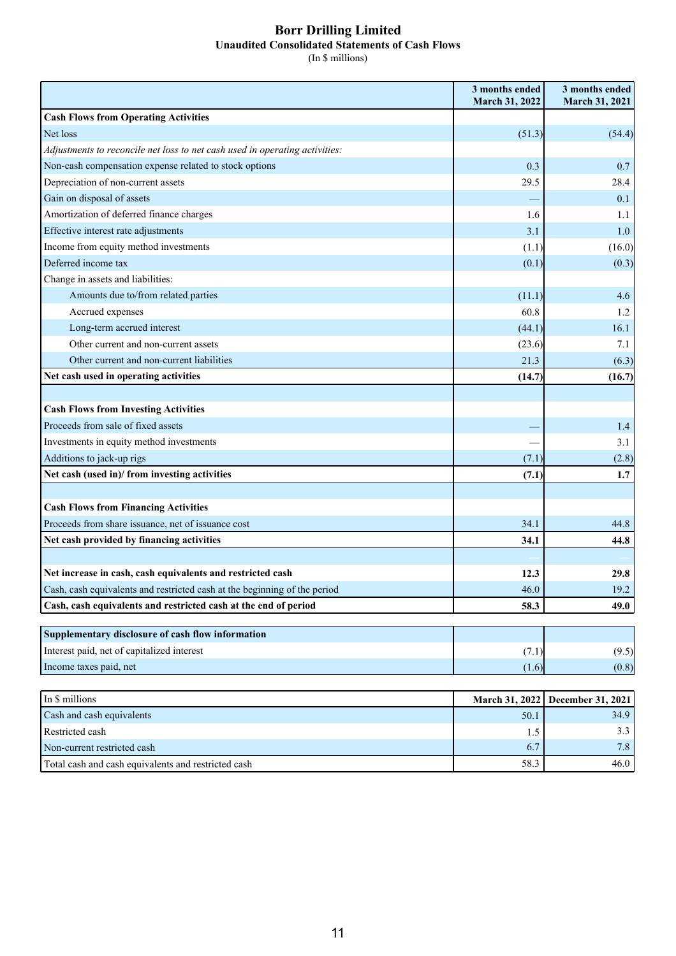# **Borr Drilling Limited Unaudited Consolidated Statements of Cash Flows**

(In \$ millions)

|                                                                             | 3 months ended<br>March 31, 2022 | 3 months ended<br>March 31, 2021 |
|-----------------------------------------------------------------------------|----------------------------------|----------------------------------|
| <b>Cash Flows from Operating Activities</b>                                 |                                  |                                  |
| Net loss                                                                    | (51.3)                           | (54.4)                           |
| Adjustments to reconcile net loss to net cash used in operating activities: |                                  |                                  |
| Non-cash compensation expense related to stock options                      | 0.3                              | 0.7                              |
| Depreciation of non-current assets                                          | 29.5                             | 28.4                             |
| Gain on disposal of assets                                                  |                                  | 0.1                              |
| Amortization of deferred finance charges                                    | 1.6                              | 1.1                              |
| Effective interest rate adjustments                                         | 3.1                              | 1.0                              |
| Income from equity method investments                                       | (1.1)                            | (16.0)                           |
| Deferred income tax                                                         | (0.1)                            | (0.3)                            |
| Change in assets and liabilities:                                           |                                  |                                  |
| Amounts due to/from related parties                                         | (11.1)                           | 4.6                              |
| Accrued expenses                                                            | 60.8                             | 1.2                              |
| Long-term accrued interest                                                  | (44.1)                           | 16.1                             |
| Other current and non-current assets                                        | (23.6)                           | 7.1                              |
| Other current and non-current liabilities                                   | 21.3                             | (6.3)                            |
| Net cash used in operating activities                                       | (14.7)                           | (16.7)                           |
|                                                                             |                                  |                                  |
| <b>Cash Flows from Investing Activities</b>                                 |                                  |                                  |
| Proceeds from sale of fixed assets                                          |                                  | 1.4                              |
| Investments in equity method investments                                    |                                  | 3.1                              |
| Additions to jack-up rigs                                                   | (7.1)                            | (2.8)                            |
| Net cash (used in)/ from investing activities                               | (7.1)                            | 1.7                              |
|                                                                             |                                  |                                  |
| <b>Cash Flows from Financing Activities</b>                                 |                                  |                                  |
| Proceeds from share issuance, net of issuance cost                          | 34.1                             | 44.8                             |
| Net cash provided by financing activities                                   | 34.1                             | 44.8                             |
|                                                                             |                                  |                                  |
| Net increase in cash, cash equivalents and restricted cash                  | 12.3                             | 29.8                             |
| Cash, cash equivalents and restricted cash at the beginning of the period   | 46.0                             | 19.2                             |
| Cash, cash equivalents and restricted cash at the end of period             | 58.3                             | 49.0                             |
|                                                                             |                                  |                                  |
| Supplementary disclosure of cash flow information                           |                                  |                                  |
| Interest paid, net of capitalized interest                                  | (7.1)                            | (9.5)                            |
| Income taxes paid, net                                                      | (1.6)                            | (0.8)                            |
|                                                                             |                                  |                                  |
| In \$ millions                                                              | March 31, 2022                   | December 31, 2021                |
| Cash and cash equivalents                                                   | 50.1                             | 34.9                             |

|                                                     | .    |      |
|-----------------------------------------------------|------|------|
| Restricted cash                                     | .    |      |
| Non-current restricted cash                         | v.   | 7.8  |
| Total cash and cash equivalents and restricted cash | 58.3 | 46.0 |